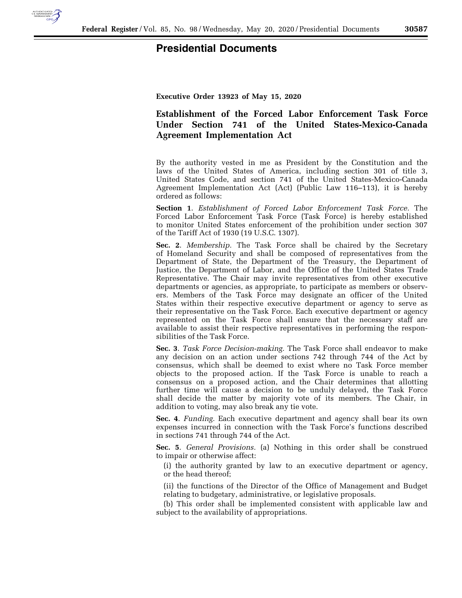

## **Presidential Documents**

**Executive Order 13923 of May 15, 2020** 

## **Establishment of the Forced Labor Enforcement Task Force Under Section 741 of the United States-Mexico-Canada Agreement Implementation Act**

By the authority vested in me as President by the Constitution and the laws of the United States of America, including section 301 of title 3, United States Code, and section 741 of the United States-Mexico-Canada Agreement Implementation Act (Act) (Public Law 116–113), it is hereby ordered as follows:

**Section 1**. *Establishment of Forced Labor Enforcement Task Force.* The Forced Labor Enforcement Task Force (Task Force) is hereby established to monitor United States enforcement of the prohibition under section 307 of the Tariff Act of 1930 (19 U.S.C. 1307).

**Sec. 2**. *Membership.* The Task Force shall be chaired by the Secretary of Homeland Security and shall be composed of representatives from the Department of State, the Department of the Treasury, the Department of Justice, the Department of Labor, and the Office of the United States Trade Representative. The Chair may invite representatives from other executive departments or agencies, as appropriate, to participate as members or observers. Members of the Task Force may designate an officer of the United States within their respective executive department or agency to serve as their representative on the Task Force. Each executive department or agency represented on the Task Force shall ensure that the necessary staff are available to assist their respective representatives in performing the responsibilities of the Task Force.

**Sec. 3**. *Task Force Decision-making.* The Task Force shall endeavor to make any decision on an action under sections 742 through 744 of the Act by consensus, which shall be deemed to exist where no Task Force member objects to the proposed action. If the Task Force is unable to reach a consensus on a proposed action, and the Chair determines that allotting further time will cause a decision to be unduly delayed, the Task Force shall decide the matter by majority vote of its members. The Chair, in addition to voting, may also break any tie vote.

**Sec. 4**. *Funding.* Each executive department and agency shall bear its own expenses incurred in connection with the Task Force's functions described in sections 741 through 744 of the Act.

**Sec. 5**. *General Provisions.* (a) Nothing in this order shall be construed to impair or otherwise affect:

(i) the authority granted by law to an executive department or agency, or the head thereof;

(ii) the functions of the Director of the Office of Management and Budget relating to budgetary, administrative, or legislative proposals.

(b) This order shall be implemented consistent with applicable law and subject to the availability of appropriations.